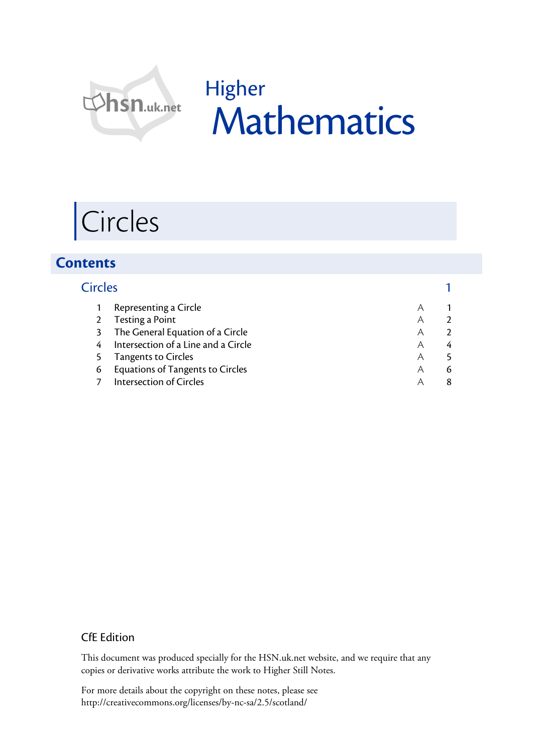

## Higher Mathematics

# Circles

### **Contents**

| <b>Circles</b> |                                     |   |   |
|----------------|-------------------------------------|---|---|
|                | Representing a Circle               |   |   |
|                | 2 Testing a Point                   | Α |   |
| 3              | The General Equation of a Circle    | Α |   |
| 4              | Intersection of a Line and a Circle | Α | 4 |
|                | <b>Tangents to Circles</b>          | Α |   |
| 6              | Equations of Tangents to Circles    | Α | 6 |
|                | <b>Intersection of Circles</b>      |   |   |

#### CfE Edition

This document was produced specially for the HSN.uk.net website, and we require that any copies or derivative works attribute the work to Higher Still Notes.

For more details about the copyright on these notes, please see http://creativecommons.org/licenses/by-nc-sa/2.5/scotland/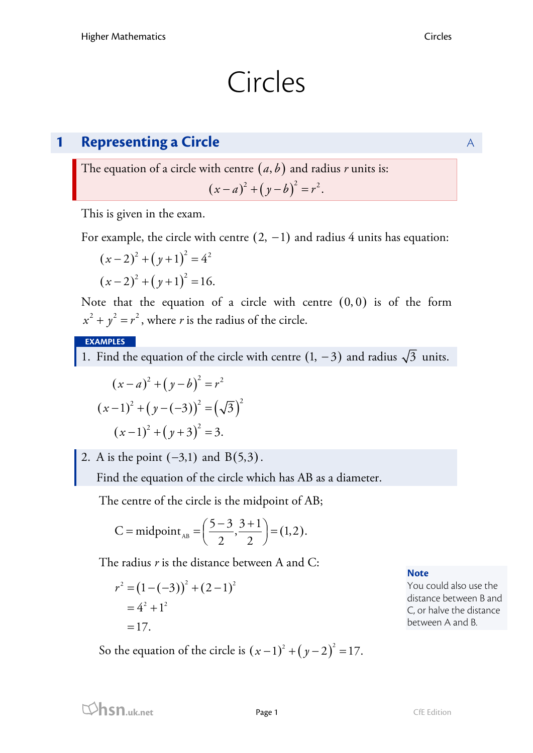## Circles

## **1 Representing a Circle** A

The equation of a circle with centre  $(a, b)$  and radius *r* units is:

$$
(x-a)^2 + (y-b)^2 = r^2.
$$

This is given in the exam.

For example, the circle with centre  $(2, -1)$  and radius 4 units has equation:

$$
(x-2)^{2} + (y+1)^{2} = 4^{2}
$$

$$
(x-2)^{2} + (y+1)^{2} = 16.
$$

Note that the equation of a circle with centre  $(0, 0)$  is of the form  $x^2 + y^2 = r^2$ , where *r* is the radius of the circle.

#### **EXAMPLES**

1. Find the equation of the circle with centre  $(1, -3)$  and radius  $\sqrt{3}$  units.

$$
(x-a)^2 + (y-b)^2 = r^2
$$
  
\n
$$
(x-1)^2 + (y-(-3))^2 = (\sqrt{3})^2
$$
  
\n
$$
(x-1)^2 + (y+3)^2 = 3.
$$

2. A is the point  $(-3,1)$  and  $B(5,3)$ .

Find the equation of the circle which has AB as a diameter.

The centre of the circle is the midpoint of AB;

C = midpoint<sub>AB</sub> = 
$$
\left(\frac{5-3}{2}, \frac{3+1}{2}\right)
$$
 = (1,2).

The radius *r* is the distance between A and C:

$$
r2 = (1 - (-3))2 + (2 - 1)2
$$
  
= 4<sup>2</sup> + 1<sup>2</sup>  
= 17.

So the equation of the circle is  $(x-1)^2 + (y-2)^2 = 17$ .

**Note**

You could also use the distance between B and C, or halve the distance between A and B.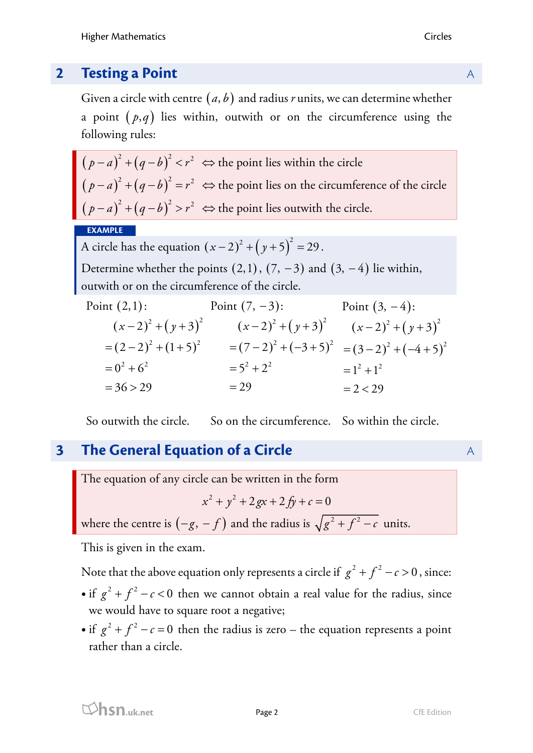Given a circle with centre  $(a, b)$  and radius *r* units, we can determine whether a point  $(p,q)$  lies within, outwith or on the circumference using the following rules:

 $(p - a)^2 + (q - b)$  $(p - a)^2 + (q - b)$  $(p - a)^2 + (q - b)^2$  $(a-a)^2 + (q-b)^2 < r^2 \Leftrightarrow$  $(a-a)^2 + (q-b)^2 = r^2 \Leftrightarrow$  $(a-a)^2 + (q-b)^2 > r^2 \Leftrightarrow$  $^{2}$   $(a-h)^{2}$   $\sim$   $n^{2}$  $^{2}$   $(a-h)^{2}$   $=$   $a^{2}$  $^{2}$   $($  a  $h)^{2}$   $\sim$   $n^{2}$  $\Leftrightarrow$  the point lies within the circle  $\Rightarrow$  the point lies on the circumference of the circle  $\Leftrightarrow$  the point lies outwith the circle.  $(p-a)^2 + (q-b)^2 < r$  $(p-a)^{2}+(q-b)^{2}=r$  $p-a)^{2}+(q-b)^{2}>r$ 

#### **EXAMPLE**

A circle has the equation  $(x-2)^2 + (y+5)^2 = 29$ .

Determine whether the points  $(2,1)$ ,  $(7, -3)$  and  $(3, -4)$  lie within, outwith or on the circumference of the circle.

| Point $(2,1)$ :        | Point $(7, -3)$ :       | Point $(3, -4)$ :     |
|------------------------|-------------------------|-----------------------|
| $(x-2)^{2}+(y+3)^{2}$  | $(x-2)^2 + (y+3)^2$     | $(x-2)^{2}+(y+3)^{2}$ |
| $=(2-2)^{2}+(1+5)^{2}$ | $=(7-2)^{2}+(-3+5)^{2}$ | $=(3-2)^2+(-4+5)^2$   |
| $= 0^2 + 6^2$          | $= 5^2 + 2^2$           | $=1^2+1^2$            |
| $= 36 > 29$            | $= 29$                  | $= 2 < 29$            |

So outwith the circle. So on the circumference. So within the circle.

## **3 The General Equation of a Circle** A A A A A

The equation of any circle can be written in the form

$$
x^2 + y^2 + 2gx + 2fy + c = 0
$$

where the centre is  $(-g, -f)$  and the radius is  $\sqrt{g^2 + f^2 - c}$  units.

This is given in the exam.

Note that the above equation only represents a circle if  $g^2 + f^2 - c > 0$ , since:

- if  $g^2 + f^2 c < 0$  then we cannot obtain a real value for the radius, since we would have to square root a negative;
- if  $g^2 + f^2 c = 0$  then the radius is zero the equation represents a point rather than a circle.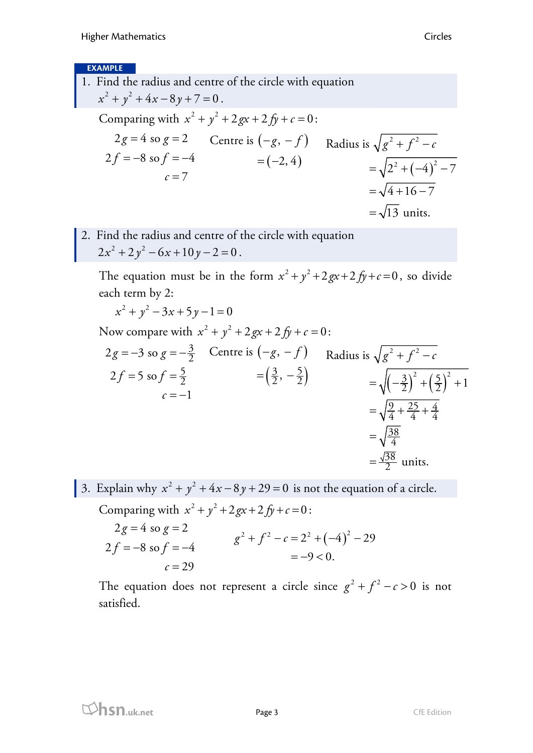#### **EXAMPLE**

- 1. Find the radius and centre of the circle with equation  $x^2 + y^2 + 4x - 8y + 7 = 0$ . Comparing with  $x^2 + y^2 + 2gx + 2fy + c = 0$ :  $2g = 4$  so  $g = 2$  Centre is  $(-g, -f)$  Radius is  $\sqrt{g^2 + f^2 - a^2}$  $2f = -8$  so  $f = -4$  $c=7$  $(-2, 4)$  $= (-2, 4)$ <br>=  $\sqrt{2^2 + (-4)^2 - 7}$  $=\sqrt{4+16-7}$  $=\sqrt{13}$  units.
- 2. Find the radius and centre of the circle with equation  $2x^{2} + 2y^{2} - 6x + 10y - 2 = 0$ .

The equation must be in the form  $x^2 + y^2 + 2gx + 2fy + c = 0$ , so divide each term by 2:

$$
x^{2} + y^{2} - 3x + 5y - 1 = 0
$$
  
Now compare with  $x^{2} + y^{2} + 2gx + 2fy + c = 0$ :  
 $2g = -3$  so  $g = -\frac{3}{2}$  Centre is  $(-g, -f)$  Radius is  $\sqrt{g^{2} + f^{2} - c}$   
 $2f = 5$  so  $f = \frac{5}{2}$   $= (\frac{3}{2}, -\frac{5}{2})$   $= \sqrt{(-\frac{3}{2})^{2} + (\frac{5}{2})^{2} + 1}$   
 $= \sqrt{\frac{9}{4} + \frac{25}{4} + \frac{4}{4}}$   
 $= \sqrt{\frac{38}{4}}$   
 $= \frac{\sqrt{38}}{2}$  units.

3. Explain why  $x^2 + y^2 + 4x - 8y + 29 = 0$  is not the equation of a circle. Comparing with  $x^2 + y^2 + 2gx + 2fy + c = 0$ :  $2g = 4$  so  $g = 2$  $2f = -8$  so  $f = -4$  $c = 29$  $g^2 + f^2 - c = 2^2 + (-4)^2 - 29$  $=-9 < 0.$ 

The equation does not represent a circle since  $g^2 + f^2 - c > 0$  is not satisfied.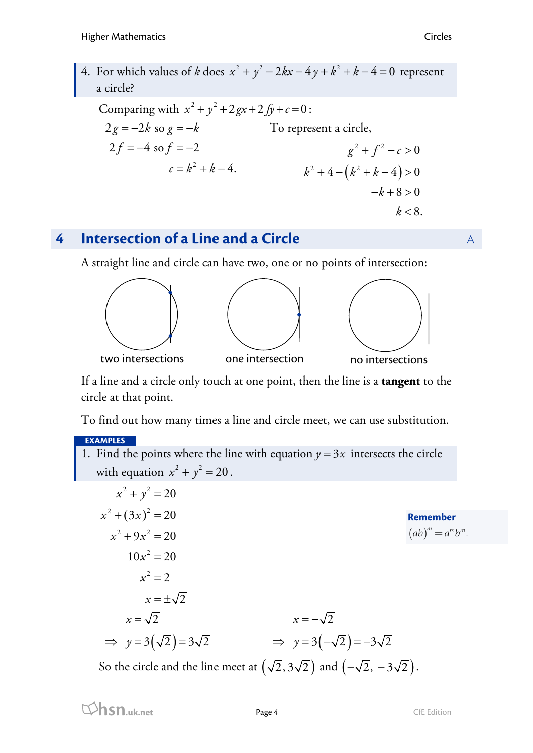4. For which values of *k* does  $x^2 + y^2 - 2kx - 4y + k^2 + k - 4 = 0$  represent a circle?

Comparing with  $x^2 + y^2 + 2gx + 2fy + c = 0$ :  $c = k^2 + k - 4.$  $2g = -2k$  so  $g = -k$  $2f = -4$  so  $f = -2$ To represent a circle,  $k^2+4-(k^2+k-4)>0$  $g^2 + f^2 - c > 0$  $-k+8 > 0$  $k < 8$ .

## **4 Intersection of a Line and a Circle A A A**

A straight line and circle can have two, one or no points of intersection:



If a line and a circle only touch at one point, then the line is a **tangent** to the circle at that point.

To find out how many times a line and circle meet, we can use substitution.

#### **EXAMPLES**

1. Find the points where the line with equation  $y = 3x$  intersects the circle with equation  $x^2 + y^2 = 20$ .

| $x^2 + y^2 = 20$                          |                                         |                           |
|-------------------------------------------|-----------------------------------------|---------------------------|
| $x^2 + (3x)^2 = 20$                       |                                         | <b>Remember</b>           |
| $x^2 + 9x^2 = 20$                         |                                         | $(ab)^{m} = a^{m}b^{m}$ . |
| $10x^2 = 20$                              |                                         |                           |
| $x^2 = 2$                                 |                                         |                           |
| $x=\pm\sqrt{2}$                           |                                         |                           |
| $x=\sqrt{2}$                              | $x=-\sqrt{2}$                           |                           |
| $\Rightarrow y = 3(\sqrt{2}) = 3\sqrt{2}$ | $\Rightarrow y=3(-\sqrt{2})=-3\sqrt{2}$ |                           |
|                                           | $\qquad \qquad \overline{\qquad}$       |                           |

So the circle and the line meet at  $(\sqrt{2}, 3\sqrt{2})$  and  $(-\sqrt{2}, -3\sqrt{2})$ .

**hsn.uk.net** Page 4 CfE Edition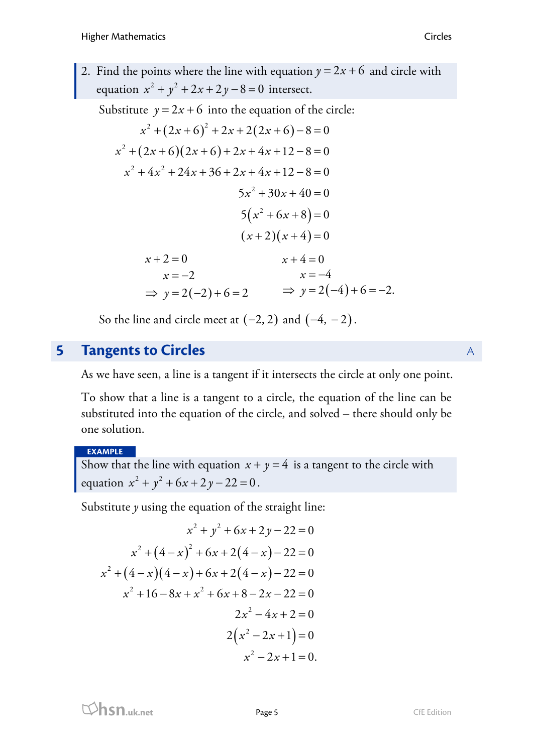2. Find the points where the line with equation  $y = 2x + 6$  and circle with equation  $x^2 + y^2 + 2x + 2y - 8 = 0$  intersect.

Substitute  $y = 2x + 6$  into the equation of the circle:

$$
x^{2} + (2x + 6)^{2} + 2x + 2(2x + 6) - 8 = 0
$$
  
\n
$$
x^{2} + (2x + 6)(2x + 6) + 2x + 4x + 12 - 8 = 0
$$
  
\n
$$
x^{2} + 4x^{2} + 24x + 36 + 2x + 4x + 12 - 8 = 0
$$
  
\n
$$
5x^{2} + 30x + 40 = 0
$$
  
\n
$$
5(x^{2} + 6x + 8) = 0
$$
  
\n
$$
(x + 2)(x + 4) = 0
$$
  
\n
$$
x + 2 = 0
$$
  
\n
$$
x = -2
$$
  
\n
$$
x = -4
$$
  
\n
$$
\Rightarrow y = 2(-2) + 6 = 2
$$
  
\n
$$
\Rightarrow y = 2(-4) + 6 = -2.
$$

So the line and circle meet at  $(-2, 2)$  and  $(-4, -2)$ .

### **5 Tangents to Circles** A

As we have seen, a line is a tangent if it intersects the circle at only one point.

To show that a line is a tangent to a circle, the equation of the line can be substituted into the equation of the circle, and solved – there should only be one solution.

#### **EXAMPLE**

Show that the line with equation  $x + y = 4$  is a tangent to the circle with equation  $x^2 + y^2 + 6x + 2y - 22 = 0$ .

Substitute *y* using the equation of the straight line:

$$
x^{2} + y^{2} + 6x + 2y - 22 = 0
$$
  
\n
$$
x^{2} + (4 - x)^{2} + 6x + 2(4 - x) - 22 = 0
$$
  
\n
$$
x^{2} + (4 - x)(4 - x) + 6x + 2(4 - x) - 22 = 0
$$
  
\n
$$
x^{2} + 16 - 8x + x^{2} + 6x + 8 - 2x - 22 = 0
$$
  
\n
$$
2x^{2} - 4x + 2 = 0
$$
  
\n
$$
2(x^{2} - 2x + 1) = 0
$$
  
\n
$$
x^{2} - 2x + 1 = 0.
$$

**html**<br> **hsn.uk.net** Page 5 CfE Edition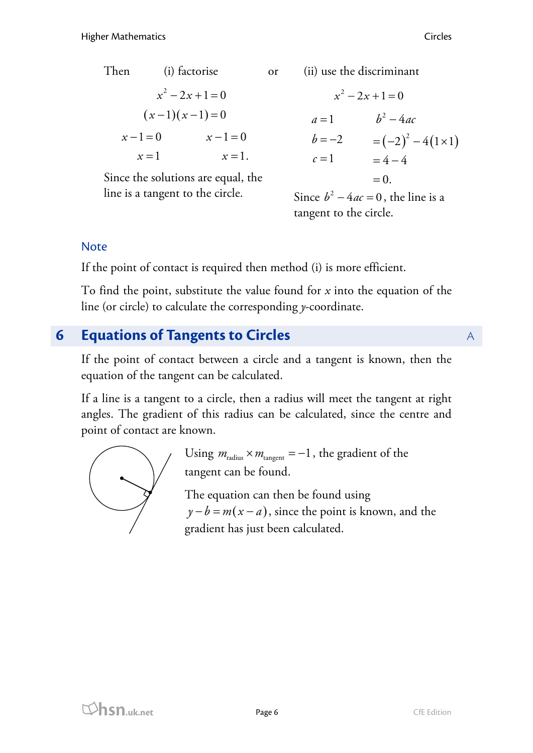Then (i) factorise  
\n
$$
x^2 - 2x + 1 = 0
$$
  
\n $(x-1)(x-1) = 0$   
\n $x-1=0$   $x-1=0$   
\n $x = 1$   $x = 1$ .

Since the solutions are equal, the line is a tangent to the circle.

Then (i) factorise or (ii) use the discriminant

$$
x^{2}-2x+1=0
$$
  
\n
$$
a=1 \t b^{2}-4ac
$$
  
\n
$$
b=-2 \t = (-2)^{2}-4(1\times1)
$$
  
\n
$$
c=1 \t = 4-4
$$
  
\n
$$
= 0.
$$

Since  $b^2 - 4ac = 0$ , the line is a tangent to the circle.

#### Note

If the point of contact is required then method (i) is more efficient.

To find the point, substitute the value found for *x* into the equation of the line (or circle) to calculate the corresponding *y*-coordinate.

## **6 Equations of Tangents to Circles** A

If the point of contact between a circle and a tangent is known, then the equation of the tangent can be calculated.

If a line is a tangent to a circle, then a radius will meet the tangent at right angles. The gradient of this radius can be calculated, since the centre and point of contact are known.



Using  $m_{\text{radius}} \times m_{\text{tangent}} = -1$ , the gradient of the tangent can be found.

The equation can then be found using  $y - b = m(x - a)$ , since the point is known, and the gradient has just been calculated.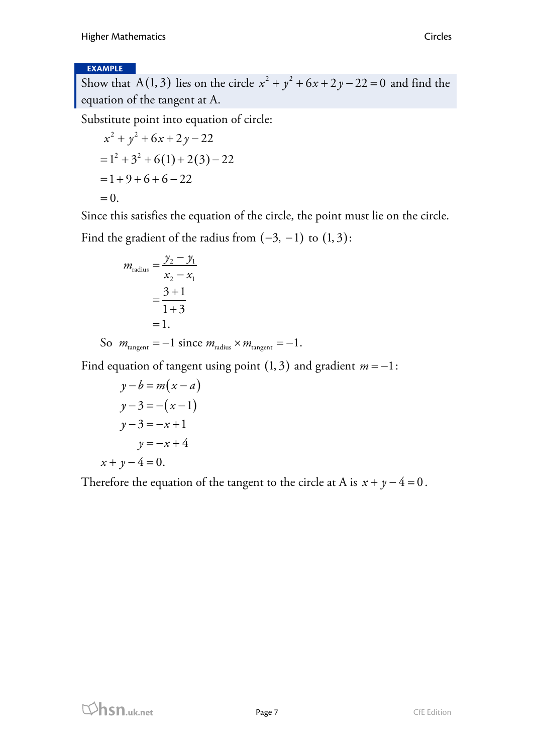#### **EXAMPLE**

Show that A(1, 3) lies on the circle  $x^2 + y^2 + 6x + 2y - 22 = 0$  and find the equation of the tangent at A.

Substitute point into equation of circle:

$$
x^{2} + y^{2} + 6x + 2y - 22
$$
  
= 1<sup>2</sup> + 3<sup>2</sup> + 6(1) + 2(3) - 22  
= 1 + 9 + 6 + 6 - 22  
= 0.

Since this satisfies the equation of the circle, the point must lie on the circle. Find the gradient of the radius from  $(-3, -1)$  to  $(1, 3)$ :

$$
m_{\text{radius}} = \frac{y_2 - y_1}{x_2 - x_1} \\
= \frac{3 + 1}{1 + 3} \\
= 1.
$$

So  $m_{\text{tangent}} = -1$  since  $m_{\text{radius}} \times m_{\text{tangent}} = -1$ .

Find equation of tangent using point  $(1, 3)$  and gradient  $m = -1$ :

$$
y-b = m(x-a)
$$
  
\n
$$
y-3 = -(x-1)
$$
  
\n
$$
y-3 = -x+1
$$
  
\n
$$
y = -x+4
$$
  
\n
$$
x+y-4 = 0.
$$

Therefore the equation of the tangent to the circle at A is  $x + y - 4 = 0$ .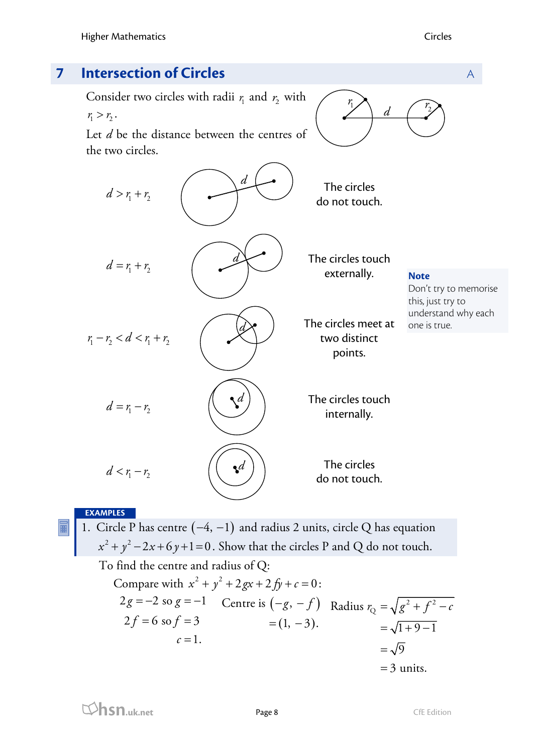

#### **EXAMPLES**

1. Circle P has centre  $(-4, -1)$  and radius 2 units, circle Q has equation  $x^2 + y^2 - 2x + 6y + 1 = 0$  . Show that the circles P and Q do not touch.

To find the centre and radius of Q: Compare with  $x^2 + y^2 + 2gx + 2fy + c = 0$ :  $2g = -2$  so  $g = -1$  Centre is  $(-g, -f)$  Radius  $r_Q = \sqrt{g^2 + f^2 - a^2}$  $2f = 6$  so  $f = 3$  $c=1$ .  $= (1, -3).$  $=\sqrt{1+9-1}$  $=\sqrt{9}$  $=$  3 units.